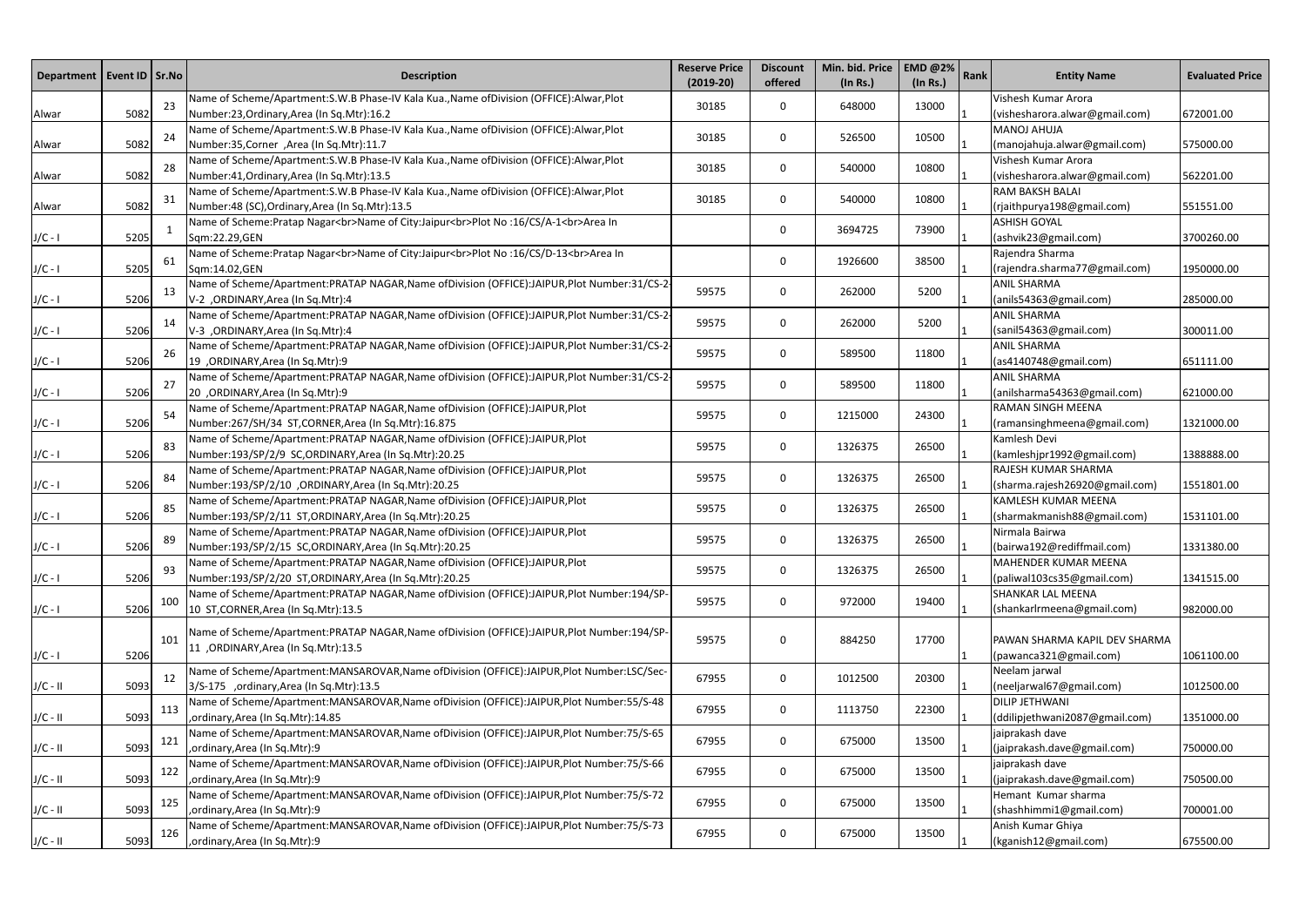| Department   Event ID   Sr.No |      |     | <b>Description</b>                                                                                                                            | <b>Reserve Price</b><br>$(2019-20)$ | <b>Discount</b><br>offered | Min. bid. Price<br>(In Rs.) | <b>EMD @2%</b><br>(In Rs.) | Rank | <b>Entity Name</b>                                      | <b>Evaluated Price</b> |
|-------------------------------|------|-----|-----------------------------------------------------------------------------------------------------------------------------------------------|-------------------------------------|----------------------------|-----------------------------|----------------------------|------|---------------------------------------------------------|------------------------|
| Alwar                         | 5082 | 23  | Name of Scheme/Apartment:S.W.B Phase-IV Kala Kua., Name of Division (OFFICE): Alwar, Plot<br>Number:23, Ordinary, Area (In Sq. Mtr): 16.2     | 30185                               | $\Omega$                   | 648000                      | 13000                      |      | Vishesh Kumar Arora<br>(vishesharora.alwar@gmail.com)   | 672001.00              |
| Alwar                         | 5082 | 24  | Name of Scheme/Apartment:S.W.B Phase-IV Kala Kua., Name of Division (OFFICE): Alwar, Plot<br>Number:35, Corner, Area (In Sq.Mtr):11.7         | 30185                               | 0                          | 526500                      | 10500                      |      | <b>MANOJ AHUJA</b><br>(manojahuja.alwar@gmail.com)      | 575000.00              |
| Alwar                         | 5082 | 28  | Name of Scheme/Apartment:S.W.B Phase-IV Kala Kua., Name of Division (OFFICE): Alwar, Plot<br>Number:41, Ordinary, Area (In Sq. Mtr): 13.5     | 30185                               | $\mathbf{0}$               | 540000                      | 10800                      |      | Vishesh Kumar Arora<br>(vishesharora.alwar@gmail.com)   | 562201.00              |
| Alwar                         | 5082 | 31  | Name of Scheme/Apartment:S.W.B Phase-IV Kala Kua., Name of Division (OFFICE): Alwar, Plot<br>Number:48 (SC), Ordinary, Area (In Sq. Mtr):13.5 | 30185                               | $\Omega$                   | 540000                      | 10800                      |      | <b>RAM BAKSH BALAI</b><br>(rjaithpurya198@gmail.com)    | 551551.00              |
| $J/C - I$                     | 5205 |     | Name of Scheme: Pratap Nagar<br>Name of City: Jaipur<br>>br>Plot No : 16/CS/A-1<br>Area In<br>Sqm:22.29, GEN                                  |                                     | $\Omega$                   | 3694725                     | 73900                      |      | <b>ASHISH GOYAL</b><br>(ashvik23@gmail.com)             | 3700260.00             |
| $J/C - I$                     | 5205 | 61  | Name of Scheme: Pratap Nagar<br>Name of City: Jaipur<br>>br>Plot No :16/CS/D-13<br>Area In<br>Sqm:14.02,GEN                                   |                                     | 0                          | 1926600                     | 38500                      |      | Rajendra Sharma<br>(rajendra.sharma77@gmail.com)        | 1950000.00             |
| $J/C - I$                     | 5206 | 13  | Name of Scheme/Apartment:PRATAP NAGAR, Name of Division (OFFICE):JAIPUR, Plot Number:31/CS-2-<br>V-2, ORDINARY, Area (In Sq. Mtr): 4          | 59575                               | 0                          | 262000                      | 5200                       |      | <b>ANIL SHARMA</b><br>(anils54363@gmail.com)            | 285000.00              |
| $J/C - I$                     | 5206 | 14  | Name of Scheme/Apartment:PRATAP NAGAR, Name of Division (OFFICE):JAIPUR, Plot Number:31/CS-2-<br>V-3, ORDINARY, Area (In Sq. Mtr): 4          | 59575                               | $\mathbf{0}$               | 262000                      | 5200                       |      | <b>ANIL SHARMA</b><br>(sanil54363@gmail.com)            | 300011.00              |
| $J/C - I$                     | 5206 | 26  | Name of Scheme/Apartment:PRATAP NAGAR, Name of Division (OFFICE):JAIPUR, Plot Number:31/CS-2-<br>19, ORDINARY, Area (In Sq. Mtr): 9           | 59575                               | 0                          | 589500                      | 11800                      |      | <b>ANIL SHARMA</b><br>(as4140748@gmail.com)             | 651111.00              |
| $J/C - I$                     | 5206 | 27  | Name of Scheme/Apartment:PRATAP NAGAR, Name of Division (OFFICE):JAIPUR, Plot Number:31/CS-2-<br>20 ,ORDINARY,Area (In Sq.Mtr):9              | 59575                               | 0                          | 589500                      | 11800                      |      | <b>ANIL SHARMA</b><br>(anilsharma54363@gmail.com)       | 621000.00              |
| $J/C - I$                     | 5206 | 54  | Name of Scheme/Apartment:PRATAP NAGAR, Name of Division (OFFICE):JAIPUR, Plot<br>Number:267/SH/34 ST,CORNER,Area (In Sq.Mtr):16.875           | 59575                               | $\mathbf{0}$               | 1215000                     | 24300                      |      | RAMAN SINGH MEENA<br>(ramansinghmeena@gmail.com)        | 1321000.00             |
| $J/C - I$                     | 5206 | 83  | Name of Scheme/Apartment:PRATAP NAGAR, Name of Division (OFFICE):JAIPUR, Plot<br>Number:193/SP/2/9 SC,ORDINARY,Area (In Sq.Mtr):20.25         | 59575                               | $\mathbf{0}$               | 1326375                     | 26500                      |      | Kamlesh Devi<br>(kamleshjpr1992@gmail.com)              | 1388888.00             |
| $J/C - I$                     | 5206 | 84  | Name of Scheme/Apartment:PRATAP NAGAR, Name of Division (OFFICE):JAIPUR, Plot<br>Number:193/SP/2/10 ,ORDINARY, Area (In Sq.Mtr):20.25         | 59575                               | 0                          | 1326375                     | 26500                      |      | RAJESH KUMAR SHARMA<br>(sharma.rajesh26920@gmail.com)   | 1551801.00             |
| $J/C - I$                     | 5206 | 85  | Name of Scheme/Apartment:PRATAP NAGAR, Name of Division (OFFICE):JAIPUR, Plot<br>Number:193/SP/2/11 ST,ORDINARY,Area (In Sq.Mtr):20.25        | 59575                               | $\mathbf{0}$               | 1326375                     | 26500                      |      | KAMLESH KUMAR MEENA<br>(sharmakmanish88@gmail.com)      | 1531101.00             |
| $J/C - I$                     | 5206 | 89  | Name of Scheme/Apartment:PRATAP NAGAR, Name of Division (OFFICE):JAIPUR, Plot<br>Number:193/SP/2/15 SC,ORDINARY,Area (In Sq.Mtr):20.25        | 59575                               | 0                          | 1326375                     | 26500                      |      | Nirmala Bairwa<br>(bairwa192@rediffmail.com)            | 1331380.00             |
| $J/C - I$                     | 5206 | 93  | Name of Scheme/Apartment:PRATAP NAGAR, Name of Division (OFFICE):JAIPUR, Plot<br>Number:193/SP/2/20 ST,ORDINARY,Area (In Sq.Mtr):20.25        | 59575                               | 0                          | 1326375                     | 26500                      |      | MAHENDER KUMAR MEENA<br>(paliwal103cs35@gmail.com)      | 1341515.00             |
| $J/C - I$                     | 5206 | 100 | Name of Scheme/Apartment:PRATAP NAGAR,Name ofDivision (OFFICE):JAIPUR,Plot Number:194/SP-<br>10 ST, CORNER, Area (In Sq. Mtr): 13.5           | 59575                               | 0                          | 972000                      | 19400                      |      | <b>SHANKAR LAL MEENA</b><br>(shankarlrmeena@gmail.com)  | 982000.00              |
| $J/C - I$                     | 5206 | 101 | Name of Scheme/Apartment:PRATAP NAGAR,Name ofDivision (OFFICE):JAIPUR,Plot Number:194/SP-<br>11 , ORDINARY, Area (In Sq. Mtr): 13.5           | 59575                               | 0                          | 884250                      | 17700                      |      | PAWAN SHARMA KAPIL DEV SHARMA<br>(pawanca321@gmail.com) | 1061100.00             |
| $J/C - II$                    | 5093 | 12  | Name of Scheme/Apartment:MANSAROVAR,Name ofDivision (OFFICE):JAIPUR,Plot Number:LSC/Sec-<br>3/S-175 ,ordinary,Area (In Sq.Mtr):13.5           | 67955                               | 0                          | 1012500                     | 20300                      |      | Neelam jarwal<br>(neeljarwal67@gmail.com)               | 1012500.00             |
| $J/C - II$                    | 5093 | 113 | Name of Scheme/Apartment:MANSAROVAR,Name ofDivision (OFFICE):JAIPUR,Plot Number:55/S-48<br>,ordinary, Area (In Sq. Mtr): 14.85                | 67955                               | 0                          | 1113750                     | 22300                      |      | DILIP JETHWANI<br>(ddilipjethwani2087@gmail.com)        | 1351000.00             |
| $J/C - II$                    | 5093 | 121 | Name of Scheme/Apartment:MANSAROVAR,Name ofDivision (OFFICE):JAIPUR,Plot Number:75/S-65<br>ordinary, Area (In Sq. Mtr): 9                     | 67955                               | 0                          | 675000                      | 13500                      |      | jaiprakash dave<br>(jaiprakash.dave@gmail.com)          | 750000.00              |
| $J/C - II$                    | 5093 | 122 | Name of Scheme/Apartment:MANSAROVAR,Name ofDivision (OFFICE):JAIPUR,Plot Number:75/S-66<br>ordinary, Area (In Sq. Mtr): 9                     | 67955                               | 0                          | 675000                      | 13500                      |      | jaiprakash dave<br>(jaiprakash.dave@gmail.com)          | 750500.00              |
| $J/C - II$                    | 5093 | 125 | Name of Scheme/Apartment:MANSAROVAR,Name ofDivision (OFFICE):JAIPUR,Plot Number:75/S-72<br>, ordinary, Area (In Sq. Mtr): 9                   | 67955                               | 0                          | 675000                      | 13500                      |      | Hemant Kumar sharma<br>(shashhimmi1@gmail.com)          | 700001.00              |
| $J/C - II$                    | 5093 | 126 | Name of Scheme/Apartment:MANSAROVAR,Name ofDivision (OFFICE):JAIPUR,Plot Number:75/S-73<br>, ordinary, Area (In Sq. Mtr): 9                   | 67955                               | 0                          | 675000                      | 13500                      |      | Anish Kumar Ghiya<br>(kganish12@gmail.com)              | 675500.00              |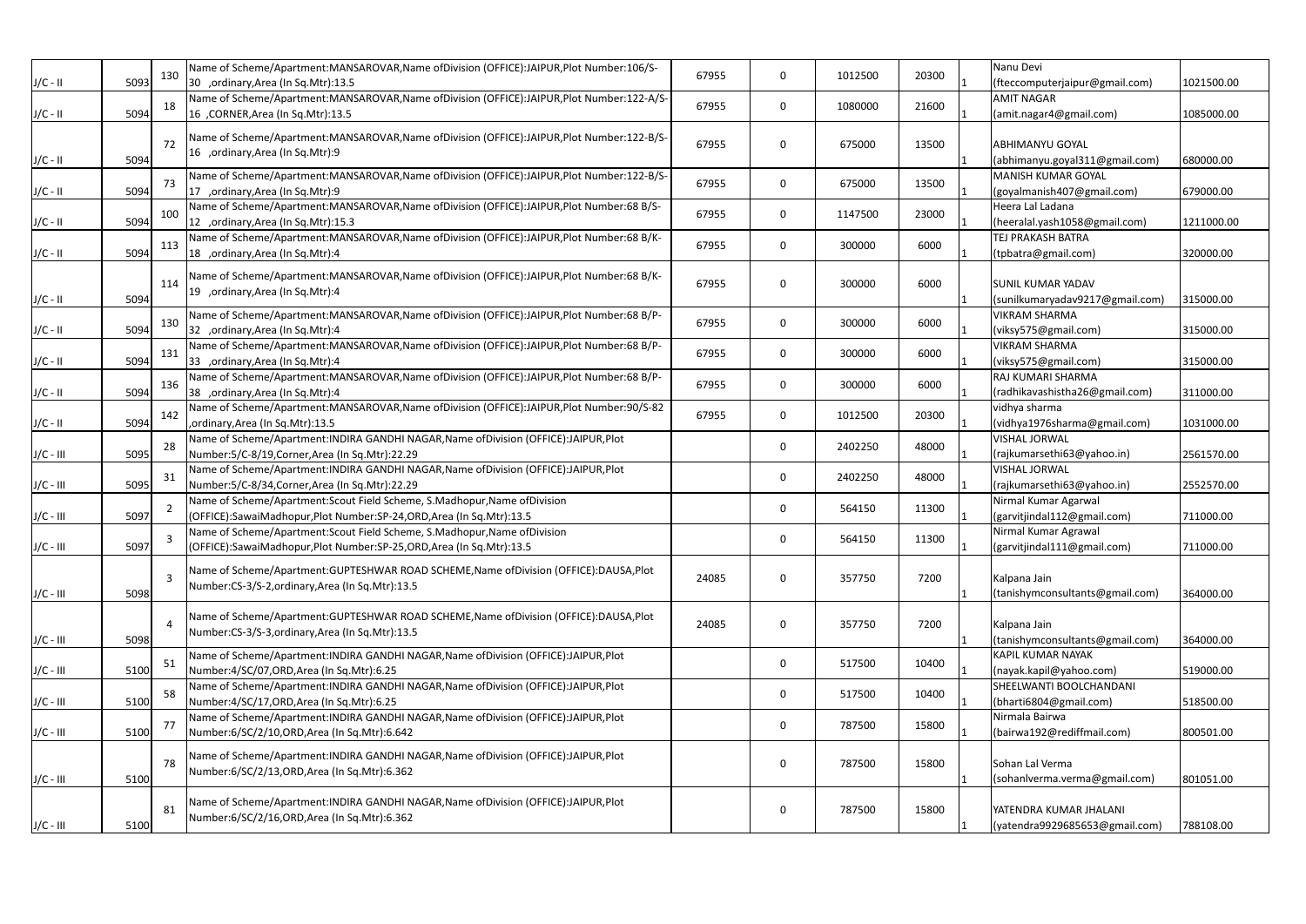|             |      | 130            | Name of Scheme/Apartment:MANSAROVAR, Name of Division (OFFICE):JAIPUR, Plot Number:106/S-                                                       | 67955 | $\mathbf 0$ | 1012500 | 20300 | Nanu Devi                                               |            |
|-------------|------|----------------|-------------------------------------------------------------------------------------------------------------------------------------------------|-------|-------------|---------|-------|---------------------------------------------------------|------------|
| $J/C - II$  | 5093 |                | 30 ,ordinary, Area (In Sq. Mtr): 13.5                                                                                                           |       |             |         |       | (fteccomputerjaipur@gmail.com)                          | 1021500.00 |
| $J/C - II$  | 5094 | 18             | Name of Scheme/Apartment:MANSAROVAR, Name of Division (OFFICE):JAIPUR, Plot Number:122-A/S-<br>16 , CORNER, Area (In Sq. Mtr): 13.5             | 67955 | 0           | 1080000 | 21600 | <b>AMIT NAGAR</b><br>(amit.nagar4@gmail.com)            | 1085000.00 |
|             |      |                |                                                                                                                                                 |       |             |         |       |                                                         |            |
|             |      | 72             | Name of Scheme/Apartment:MANSAROVAR,Name ofDivision (OFFICE):JAIPUR,Plot Number:122-B/S-                                                        | 67955 | 0           | 675000  | 13500 | <b>JABHIMANYU GOYAL</b>                                 |            |
| $J/C - II$  | 5094 |                | 16 ,ordinary, Area (In Sq. Mtr): 9                                                                                                              |       |             |         |       | (abhimanyu.goyal311@gmail.com)                          | 680000.00  |
|             |      | 73             | Name of Scheme/Apartment:MANSAROVAR, Name of Division (OFFICE):JAIPUR, Plot Number:122-B/S-                                                     | 67955 | $\mathbf 0$ | 675000  | 13500 | <b>MANISH KUMAR GOYAL</b>                               |            |
| $J/C - II$  | 5094 |                | 17 ,ordinary, Area (In Sq. Mtr): 9                                                                                                              |       |             |         |       | (goyalmanish407@gmail.com)                              | 679000.00  |
| $J/C - II$  | 5094 | 100            | Name of Scheme/Apartment:MANSAROVAR,Name ofDivision (OFFICE):JAIPUR,Plot Number:68 B/S-<br>12 ,ordinary, Area (In Sq. Mtr): 15.3                | 67955 | 0           | 1147500 | 23000 | Heera Lal Ladana<br>(heeralal.yash1058@gmail.com)       | 1211000.00 |
|             |      |                | Name of Scheme/Apartment:MANSAROVAR, Name of Division (OFFICE):JAIPUR, Plot Number:68 B/K-                                                      |       |             |         |       | TEJ PRAKASH BATRA                                       |            |
| $J/C - II$  | 5094 | 113            | 18 ,ordinary, Area (In Sq. Mtr): 4                                                                                                              | 67955 | 0           | 300000  | 6000  | (tpbatra@gmail.com)                                     | 320000.00  |
|             |      |                | Name of Scheme/Apartment:MANSAROVAR, Name of Division (OFFICE):JAIPUR, Plot Number:68 B/K-                                                      |       |             |         |       |                                                         |            |
|             |      | 114            | 19 ,ordinary, Area (In Sq. Mtr): 4                                                                                                              | 67955 | 0           | 300000  | 6000  | <b>SUNIL KUMAR YADAV</b>                                |            |
| $J/C - II$  | 5094 |                |                                                                                                                                                 |       |             |         |       | (sunilkumaryadav9217@gmail.com)<br><b>VIKRAM SHARMA</b> | 315000.00  |
| J/C - II    | 5094 | 130            | Name of Scheme/Apartment:MANSAROVAR, Name of Division (OFFICE):JAIPUR, Plot Number:68 B/P-<br>32 ,ordinary, Area (In Sq. Mtr): 4                | 67955 | 0           | 300000  | 6000  | (viksy575@gmail.com)                                    | 315000.00  |
|             |      |                | Name of Scheme/Apartment:MANSAROVAR,Name ofDivision (OFFICE):JAIPUR,Plot Number:68 B/P-                                                         |       |             |         |       | <b>VIKRAM SHARMA</b>                                    |            |
| $J/C - II$  | 5094 | 131            | 33 ,ordinary, Area (In Sq. Mtr): 4                                                                                                              | 67955 | $\mathbf 0$ | 300000  | 6000  | (viksy575@gmail.com)                                    | 315000.00  |
|             |      | 136            | Name of Scheme/Apartment:MANSAROVAR,Name ofDivision (OFFICE):JAIPUR,Plot Number:68 B/P-                                                         | 67955 | $\mathbf 0$ | 300000  | 6000  | RAJ KUMARI SHARMA                                       |            |
| $J/C - II$  | 5094 |                | 38 ,ordinary, Area (In Sq. Mtr): 4                                                                                                              |       |             |         |       | (radhikavashistha26@gmail.com)                          | 311000.00  |
|             | 5094 | 142            | Name of Scheme/Apartment:MANSAROVAR,Name ofDivision (OFFICE):JAIPUR,Plot Number:90/S-82                                                         | 67955 | 0           | 1012500 | 20300 | vidhya sharma<br>(vidhya1976sharma@gmail.com)           | 1031000.00 |
| $J/C - II$  |      |                | ordinary, Area (In Sq. Mtr): 13.5<br>Name of Scheme/Apartment: INDIRA GANDHI NAGAR, Name of Division (OFFICE): JAIPUR, Plot                     |       |             |         |       | <b>VISHAL JORWAL</b>                                    |            |
| $J/C - III$ | 5095 | 28             | Number:5/C-8/19, Corner, Area (In Sq. Mtr): 22.29                                                                                               |       | 0           | 2402250 | 48000 | (rajkumarsethi63@yahoo.in)                              | 2561570.00 |
|             |      | 31             | Name of Scheme/Apartment: INDIRA GANDHI NAGAR, Name of Division (OFFICE): JAIPUR, Plot                                                          |       |             | 2402250 | 48000 | <b>VISHAL JORWAL</b>                                    |            |
| $J/C - III$ | 5095 |                | Number:5/C-8/34, Corner, Area (In Sq. Mtr): 22.29                                                                                               |       | 0           |         |       | (rajkumarsethi63@yahoo.in)                              | 2552570.00 |
|             |      | $\overline{2}$ | Name of Scheme/Apartment:Scout Field Scheme, S.Madhopur, Name of Division                                                                       |       | 0           | 564150  | 11300 | Nirmal Kumar Agarwal                                    |            |
| $J/C - III$ | 5097 |                | (OFFICE):SawaiMadhopur,Plot Number:SP-24,ORD,Area (In Sq.Mtr):13.5<br>Name of Scheme/Apartment:Scout Field Scheme, S.Madhopur, Name of Division |       |             |         |       | (garvitjindal112@gmail.com)<br>Nirmal Kumar Agrawal     | 711000.00  |
| J/C - III   | 5097 | $\overline{3}$ | (OFFICE):SawaiMadhopur,Plot Number:SP-25,ORD,Area (In Sq.Mtr):13.5                                                                              |       | 0           | 564150  | 11300 | (garvitjindal111@gmail.com)                             | 711000.00  |
|             |      |                |                                                                                                                                                 |       |             |         |       |                                                         |            |
|             |      | $\overline{3}$ | Name of Scheme/Apartment:GUPTESHWAR ROAD SCHEME, Name of Division (OFFICE):DAUSA, Plot<br>Number:CS-3/S-2, ordinary, Area (In Sq. Mtr):13.5     | 24085 | 0           | 357750  | 7200  | Kalpana Jain                                            |            |
| $J/C - III$ | 5098 |                |                                                                                                                                                 |       |             |         |       | (tanishymconsultants@gmail.com)                         | 364000.00  |
|             |      |                | Name of Scheme/Apartment:GUPTESHWAR ROAD SCHEME, Name of Division (OFFICE):DAUSA, Plot                                                          |       |             |         |       |                                                         |            |
| $J/C - III$ | 5098 | $\overline{4}$ | Number:CS-3/S-3, ordinary, Area (In Sq. Mtr):13.5                                                                                               | 24085 | 0           | 357750  | 7200  | Kalpana Jain<br>(tanishymconsultants@gmail.com)         | 364000.00  |
|             |      |                | Name of Scheme/Apartment: INDIRA GANDHI NAGAR, Name of Division (OFFICE): JAIPUR, Plot                                                          |       |             |         |       | <b>KAPIL KUMAR NAYAK</b>                                |            |
| $J/C - III$ | 5100 | 51             | Number:4/SC/07,ORD,Area (In Sq.Mtr):6.25                                                                                                        |       | 0           | 517500  | 10400 | (nayak.kapil@yahoo.com)                                 | 519000.00  |
|             |      | 58             | Name of Scheme/Apartment: INDIRA GANDHI NAGAR, Name of Division (OFFICE): JAIPUR, Plot                                                          |       | 0           | 517500  | 10400 | SHEELWANTI BOOLCHANDANI                                 |            |
| $J/C - III$ | 5100 |                | Number:4/SC/17,ORD,Area (In Sq.Mtr):6.25                                                                                                        |       |             |         |       | (bharti6804@gmail.com)                                  | 518500.00  |
|             |      | 77             | Name of Scheme/Apartment: INDIRA GANDHI NAGAR, Name of Division (OFFICE): JAIPUR, Plot                                                          |       | 0           | 787500  | 15800 | Nirmala Bairwa                                          |            |
| $J/C - III$ | 5100 |                | Number:6/SC/2/10,ORD,Area (In Sq.Mtr):6.642                                                                                                     |       |             |         |       | (bairwa192@rediffmail.com)                              | 800501.00  |
|             |      | 78             | Name of Scheme/Apartment: INDIRA GANDHI NAGAR, Name of Division (OFFICE): JAIPUR, Plot                                                          |       | 0           | 787500  | 15800 | Sohan Lal Verma                                         |            |
| $J/C - III$ | 5100 |                | Number:6/SC/2/13,ORD,Area (In Sq.Mtr):6.362                                                                                                     |       |             |         |       | (sohanlverma.verma@gmail.com)                           | 801051.00  |
|             |      |                | Name of Scheme/Apartment: INDIRA GANDHI NAGAR, Name of Division (OFFICE): JAIPUR, Plot                                                          |       |             |         |       |                                                         |            |
|             |      | 81             | Number:6/SC/2/16,ORD,Area (In Sq.Mtr):6.362                                                                                                     |       | 0           | 787500  | 15800 | YATENDRA KUMAR JHALANI                                  |            |
| $J/C - III$ | 5100 |                |                                                                                                                                                 |       |             |         |       | (yatendra9929685653@gmail.com)                          | 788108.00  |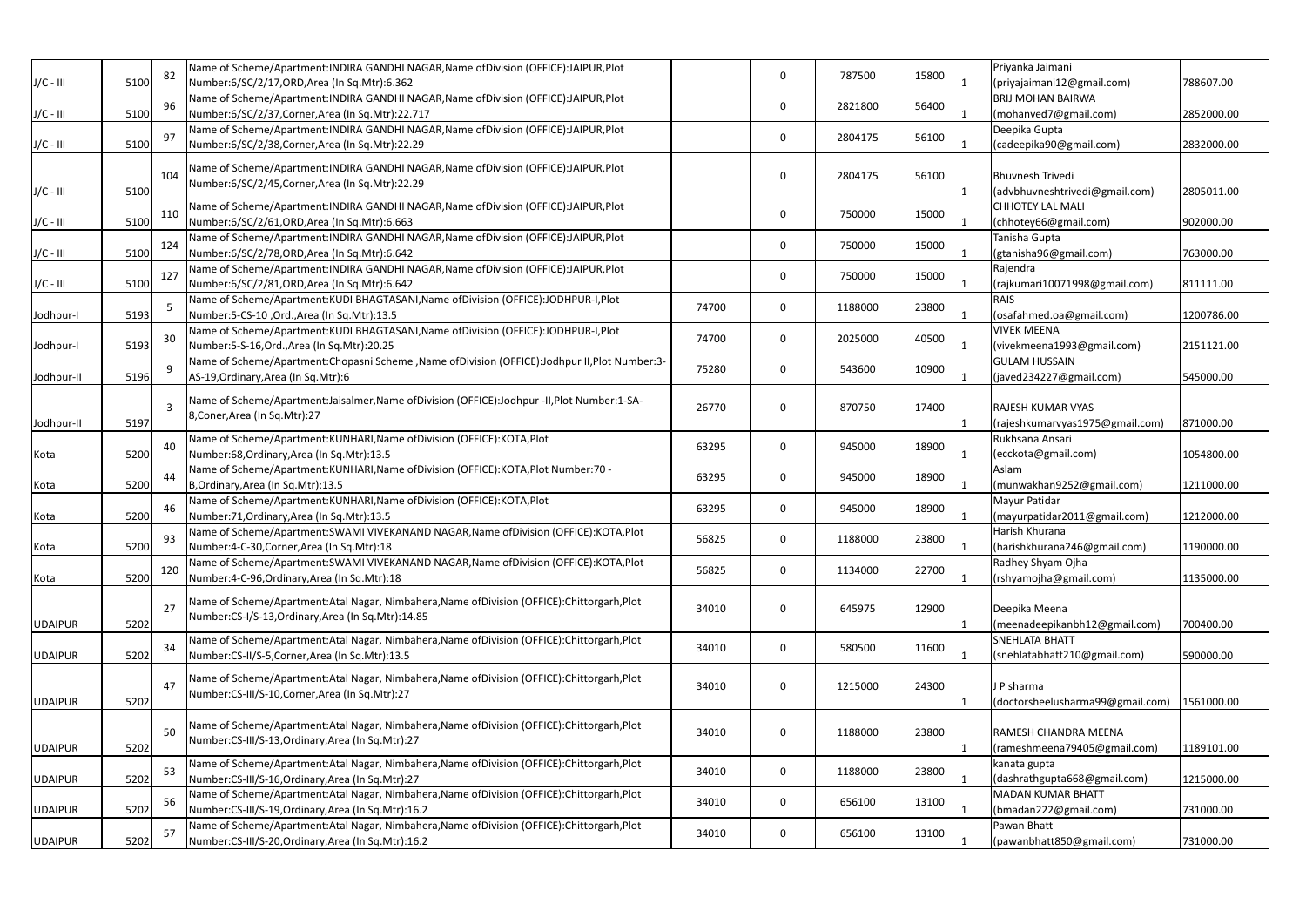|                |      | 82             | Name of Scheme/Apartment: INDIRA GANDHI NAGAR, Name of Division (OFFICE): JAIPUR, Plot       |       |              |         |       | Priyanka Jaimani                               |
|----------------|------|----------------|----------------------------------------------------------------------------------------------|-------|--------------|---------|-------|------------------------------------------------|
| $J/C - III$    | 5100 |                | Number:6/SC/2/17,ORD,Area (In Sq.Mtr):6.362                                                  |       | $\Omega$     | 787500  | 15800 | (priyajaimani12@gmail.com)<br>788607.00        |
|                |      | 96             | Name of Scheme/Apartment: INDIRA GANDHI NAGAR, Name of Division (OFFICE): JAIPUR, Plot       |       | $\Omega$     | 2821800 | 56400 | <b>BRIJ MOHAN BAIRWA</b>                       |
| $J/C - III$    | 5100 |                | Number:6/SC/2/37, Corner, Area (In Sq. Mtr): 22.717                                          |       |              |         |       | (mohanved7@gmail.com)<br>2852000.00            |
|                |      | 97             | Name of Scheme/Apartment: INDIRA GANDHI NAGAR, Name of Division (OFFICE): JAIPUR, Plot       |       | 0            | 2804175 | 56100 | Deepika Gupta                                  |
| $J/C - III$    | 5100 |                | Number:6/SC/2/38, Corner, Area (In Sq. Mtr): 22.29                                           |       |              |         |       | (cadeepika90@gmail.com)<br>2832000.00          |
|                |      |                | Name of Scheme/Apartment: INDIRA GANDHI NAGAR, Name of Division (OFFICE): JAIPUR, Plot       |       |              |         |       |                                                |
|                |      | 104            | Number:6/SC/2/45, Corner, Area (In Sq. Mtr):22.29                                            |       | 0            | 2804175 | 56100 | <b>Bhuvnesh Trivedi</b>                        |
| $J/C - III$    | 5100 |                |                                                                                              |       |              |         |       | 2805011.00<br>(advbhuvneshtrivedi@gmail.com)   |
|                |      | 110            | Name of Scheme/Apartment: INDIRA GANDHI NAGAR, Name of Division (OFFICE): JAIPUR, Plot       |       | $\mathbf 0$  | 750000  | 15000 | <b>CHHOTEY LAL MALI</b>                        |
| $J/C - III$    | 5100 |                | Number:6/SC/2/61,ORD,Area (In Sq.Mtr):6.663                                                  |       |              |         |       | (chhotey66@gmail.com)<br>902000.00             |
|                |      | 124            | Name of Scheme/Apartment: INDIRA GANDHI NAGAR, Name of Division (OFFICE): JAIPUR, Plot       |       | 0            | 750000  | 15000 | Tanisha Gupta                                  |
| $J/C - III$    | 5100 |                | Number:6/SC/2/78, ORD, Area (In Sq. Mtr): 6.642                                              |       |              |         |       | (gtanisha96@gmail.com)<br>763000.00            |
|                |      | 127            | Name of Scheme/Apartment: INDIRA GANDHI NAGAR, Name of Division (OFFICE): JAIPUR, Plot       |       | 0            |         | 15000 | Rajendra                                       |
| $J/C - III$    | 5100 |                | Number:6/SC/2/81,ORD,Area (In Sq.Mtr):6.642                                                  |       |              | 750000  |       | (rajkumari10071998@gmail.com)<br>811111.00     |
|                |      |                | Name of Scheme/Apartment:KUDI BHAGTASANI, Name of Division (OFFICE):JODHPUR-I, Plot          | 74700 |              |         |       | <b>RAIS</b>                                    |
| Jodhpur-I      | 5193 | 5              | Number:5-CS-10, Ord., Area (In Sq. Mtr):13.5                                                 |       | $\mathbf 0$  | 1188000 | 23800 | (osafahmed.oa@gmail.com)<br>1200786.00         |
|                |      | 30             | Name of Scheme/Apartment:KUDI BHAGTASANI, Name of Division (OFFICE):JODHPUR-I, Plot          |       |              |         |       | <b>VIVEK MEENA</b>                             |
| Jodhpur-I      | 5193 |                | Number:5-S-16, Ord., Area (In Sq. Mtr): 20.25                                                | 74700 | $\mathbf{0}$ | 2025000 | 40500 | (vivekmeena1993@gmail.com)<br>2151121.00       |
|                |      |                | Name of Scheme/Apartment:Chopasni Scheme ,Name ofDivision (OFFICE):Jodhpur II,Plot Number:3- |       |              |         |       | <b>GULAM HUSSAIN</b>                           |
| Jodhpur-II     | 5196 | 9              | AS-19, Ordinary, Area (In Sq. Mtr): 6                                                        | 75280 | $\mathbf 0$  | 543600  | 10900 | (javed234227@gmail.com)<br>545000.00           |
|                |      |                |                                                                                              |       |              |         |       |                                                |
|                |      | $\overline{3}$ | Name of Scheme/Apartment:Jaisalmer, Name of Division (OFFICE):Jodhpur -II, Plot Number:1-SA- | 26770 | $\Omega$     | 870750  | 17400 | RAJESH KUMAR VYAS                              |
| Jodhpur-II     | 5197 |                | 8, Coner, Area (In Sq. Mtr): 27                                                              |       |              |         |       | (rajeshkumarvyas1975@gmail.com)<br>871000.00   |
|                |      |                | Name of Scheme/Apartment:KUNHARI, Name of Division (OFFICE):KOTA, Plot                       |       |              |         |       | Rukhsana Ansari                                |
| Kota           | 5200 | 40             | Number:68, Ordinary, Area (In Sq. Mtr): 13.5                                                 | 63295 | 0            | 945000  | 18900 | 1054800.00<br>(ecckota@gmail.com)              |
|                |      |                | Name of Scheme/Apartment:KUNHARI,Name ofDivision (OFFICE):KOTA,Plot Number:70 -              |       |              |         |       | Aslam                                          |
| Kota           | 5200 | 44             | B, Ordinary, Area (In Sq. Mtr): 13.5                                                         | 63295 | 0            | 945000  | 18900 | 1211000.00<br>(munwakhan9252@gmail.com)        |
|                |      |                | Name of Scheme/Apartment:KUNHARI, Name of Division (OFFICE):KOTA, Plot                       |       |              |         |       | Mayur Patidar                                  |
| Kota           | 5200 | 46             | Number: 71, Ordinary, Area (In Sq. Mtr): 13.5                                                | 63295 | 0            | 945000  | 18900 | 1212000.00<br>(mayurpatidar2011@gmail.com)     |
|                |      |                | Name of Scheme/Apartment:SWAMI VIVEKANAND NAGAR, Name of Division (OFFICE): KOTA, Plot       |       |              |         |       | Harish Khurana                                 |
| Kota           | 5200 | 93             | Number:4-C-30, Corner, Area (In Sq. Mtr):18                                                  | 56825 | $\Omega$     | 1188000 | 23800 | 1190000.00<br>(harishkhurana246@gmail.com)     |
|                |      |                | Name of Scheme/Apartment:SWAMI VIVEKANAND NAGAR, Name of Division (OFFICE): KOTA, Plot       |       |              |         |       | Radhey Shyam Ojha                              |
| Kota           | 5200 | 120            | Number:4-C-96, Ordinary, Area (In Sq. Mtr): 18                                               | 56825 | 0            | 1134000 | 22700 | (rshyamojha@gmail.com)<br>1135000.00           |
|                |      |                |                                                                                              |       |              |         |       |                                                |
|                |      | 27             | Name of Scheme/Apartment:Atal Nagar, Nimbahera, Name of Division (OFFICE):Chittorgarh, Plot  | 34010 | 0            | 645975  | 12900 | Deepika Meena                                  |
| <b>UDAIPUR</b> | 5202 |                | Number:CS-I/S-13, Ordinary, Area (In Sq. Mtr): 14.85                                         |       |              |         |       | (meenadeepikanbh12@gmail.com)<br>700400.00     |
|                |      |                | Name of Scheme/Apartment:Atal Nagar, Nimbahera, Name of Division (OFFICE):Chittorgarh, Plot  |       |              |         |       | <b>SNEHLATA BHATT</b>                          |
| <b>UDAIPUR</b> | 5202 | 34             | Number:CS-II/S-5, Corner, Area (In Sq. Mtr):13.5                                             | 34010 | 0            | 580500  | 11600 | (snehlatabhatt210@gmail.com)<br>590000.00      |
|                |      |                |                                                                                              |       |              |         |       |                                                |
|                |      | 47             | Name of Scheme/Apartment:Atal Nagar, Nimbahera, Name of Division (OFFICE):Chittorgarh, Plot  | 34010 | 0            | 1215000 | 24300 | J P sharma                                     |
| <b>UDAIPUR</b> | 5202 |                | Number:CS-III/S-10, Corner, Area (In Sq. Mtr):27                                             |       |              |         |       | 1561000.00<br>(doctorsheelusharma99@gmail.com) |
|                |      |                |                                                                                              |       |              |         |       |                                                |
|                |      | 50             | Name of Scheme/Apartment:Atal Nagar, Nimbahera, Name of Division (OFFICE): Chittorgarh, Plot | 34010 | 0            | 1188000 | 23800 | RAMESH CHANDRA MEENA                           |
| <b>UDAIPUR</b> | 5202 |                | Number:CS-III/S-13, Ordinary, Area (In Sq. Mtr):27                                           |       |              |         |       | 1189101.00<br>(rameshmeena79405@gmail.com)     |
|                |      |                | Name of Scheme/Apartment:Atal Nagar, Nimbahera, Name of Division (OFFICE):Chittorgarh, Plot  |       |              |         |       | kanata gupta                                   |
| <b>UDAIPUR</b> | 5202 | 53             | Number:CS-III/S-16, Ordinary, Area (In Sq. Mtr):27                                           | 34010 | 0            | 1188000 | 23800 | (dashrathgupta668@gmail.com)<br>1215000.00     |
|                |      |                | Name of Scheme/Apartment:Atal Nagar, Nimbahera, Name of Division (OFFICE):Chittorgarh, Plot  |       |              |         |       | <b>MADAN KUMAR BHATT</b>                       |
| <b>UDAIPUR</b> | 5202 | 56             | Number:CS-III/S-19, Ordinary, Area (In Sq. Mtr): 16.2                                        | 34010 | 0            | 656100  | 13100 | (bmadan222@gmail.com)<br>731000.00             |
|                |      |                | Name of Scheme/Apartment:Atal Nagar, Nimbahera, Name of Division (OFFICE):Chittorgarh, Plot  |       |              |         |       | Pawan Bhatt                                    |
| <b>UDAIPUR</b> | 5202 | 57             | Number:CS-III/S-20, Ordinary, Area (In Sq. Mtr): 16.2                                        | 34010 | 0            | 656100  | 13100 | (pawanbhatt850@gmail.com)<br>731000.00         |
|                |      |                |                                                                                              |       |              |         |       |                                                |